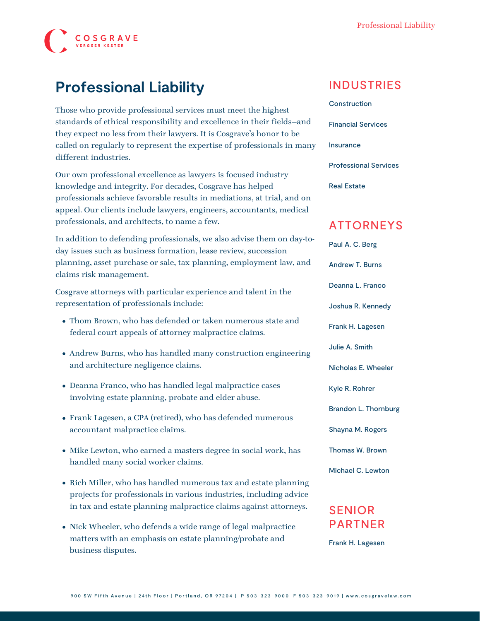

### **Professional Liability**

Those who provide professional services must meet the highest standards of ethical responsibility and excellence in their fields—and they expect no less from their lawyers. It is Cosgrave's honor to be called on regularly to represent the expertise of professionals in many different industries.

Our own professional excellence as lawyers is focused industry knowledge and integrity. For decades, Cosgrave has helped professionals achieve favorable results in mediations, at trial, and on appeal. Our clients include lawyers, engineers, accountants, medical professionals, and architects, to name a few.

In addition to defending professionals, we also advise them on day-today issues such as business formation, lease review, succession planning, asset purchase or sale, tax planning, employment law, and claims risk management.

Cosgrave attorneys with particular experience and talent in the representation of professionals include:

- [Thom Brown,](https://www.cosgravelaw.com/person/thomas-w-brown/) who has defended or taken numerous state and federal court appeals of attorney malpractice claims.
- [Andrew Burns](https://www.cosgravelaw.com/person/andrew-t-burns/), who has handled many construction engineering and architecture negligence claims.
- [Deanna Franco](https://www.cosgravelaw.com/deanna-l-franco/), who has handled legal malpractice cases involving estate planning, probate and elder abuse.
- [Frank Lagesen,](https://www.cosgravelaw.com/person/frank-h-lagesen/) a CPA (retired), who has defended numerous accountant malpractice claims.
- [Mike Lewton,](https://www.cosgravelaw.com/person/michael-c-lewton/) who earned a masters degree in social work, has handled many social worker claims.
- [Rich Miller](https://www.cosgravelaw.com/person/richard-w-miller/), who has handled numerous tax and estate planning projects for professionals in various industries, including advice in tax and estate planning malpractice claims against attorneys.
- [Nick Wheeler,](https://www.cosgravelaw.com/nicholas-wheeler-product-liability-attorney/) who defends a wide range of legal malpractice matters with an emphasis on estate planning/probate and business disputes.

#### INDUSTRIES

[Construction](https://www.cosgravelaw.com/construction/) [Financial Services](https://www.cosgravelaw.com/banking-financial-services-defense-attorneys/) [Insurance](https://www.cosgravelaw.com/insurance/) [Professional Services](https://www.cosgravelaw.com/professional-services/)

[Real Estate](https://www.cosgravelaw.com/real-estate/)

### ATTORNEYS

[Paul A. C. Berg](https://www.cosgravelaw.com/paul-berg-insurance-coverage/) [Andrew T. Burns](https://www.cosgravelaw.com/andrew-burns-construction-services-attorney/) [Deanna L. Franco](https://www.cosgravelaw.com/deanna-l-franco-trust-estate-planning/) [Joshua R. Kennedy](https://www.cosgravelaw.com/joshua-kennedy-construction-litigation-attorney/) [Frank H. Lagesen](https://www.cosgravelaw.com/frank-lagesen-business-commerical-litigation/) [Julie A. Smith](https://www.cosgravelaw.com/julie-smith-appellate-litigation-services/) [Nicholas E. Wheeler](https://www.cosgravelaw.com/nicholas-wheeler-product-liability-attorney/) [Kyle R. Rohrer](https://www.cosgravelaw.com/kyle-rohrer/) [Brandon L. Thornburg](https://www.cosgravelaw.com/brandon-thornburg-transportation-litigation/) [Shayna M. Rogers](https://www.cosgravelaw.com/shayna-rogers/) [Thomas W. Brown](https://www.cosgravelaw.com/thomas-w-brown/) [Michael C. Lewton](https://www.cosgravelaw.com/michael-lewton-personal-injury-litigation/)

### SENIOR PARTNER

[Frank H. Lagesen](https://www.cosgravelaw.com/frank-lagesen-business-commerical-litigation/)